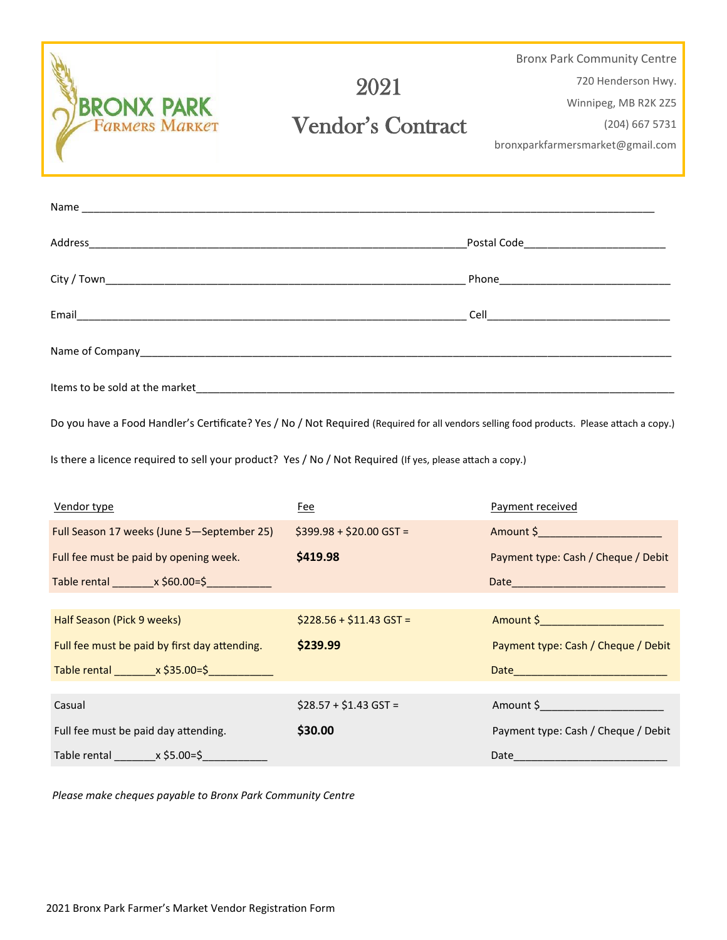| <b>BRONX PARK</b><br><b>FARMERS MARKET</b> | 2021<br><b>Vendor's Contract</b> | <b>Bronx Park Community Centre</b><br>720 Henderson Hwy.<br>Winnipeg, MB R2K 2Z5<br>$(204)$ 667 5731<br>bronxparkfarmersmarket@gmail.com |
|--------------------------------------------|----------------------------------|------------------------------------------------------------------------------------------------------------------------------------------|
|                                            |                                  |                                                                                                                                          |
|                                            |                                  |                                                                                                                                          |
|                                            |                                  |                                                                                                                                          |
|                                            |                                  | <b>Cell Cell Cell Cell Cell Cell Cell Cell Cell Cell Cell Cell Cell</b>                                                                  |
|                                            |                                  |                                                                                                                                          |

Do you have a Food Handler's Certificate? Yes / No / Not Required (Required for all vendors selling food products. Please attach a copy.)

Is there a licence required to sell your product? Yes / No / Not Required (If yes, please attach a copy.)

Items to be sold at the market\_\_\_\_\_\_\_\_\_\_\_\_\_\_\_\_\_\_\_\_\_\_\_\_\_\_\_\_\_\_\_\_\_\_\_\_\_\_\_\_\_\_\_\_\_\_\_\_\_\_\_\_\_\_\_\_\_\_\_\_\_\_\_\_\_\_\_\_\_\_\_\_\_\_\_\_\_\_\_\_\_

| Vendor type                                   | Fee                      | Payment received                                                                                                                                                                                                                 |
|-----------------------------------------------|--------------------------|----------------------------------------------------------------------------------------------------------------------------------------------------------------------------------------------------------------------------------|
| Full Season 17 weeks (June 5-September 25)    | $$399.98 + $20.00$ GST = | Amount \$ Production in the second service of the service of the series of the series of the series of the series                                                                                                                |
| Full fee must be paid by opening week.        | \$419.98                 | Payment type: Cash / Cheque / Debit                                                                                                                                                                                              |
|                                               |                          |                                                                                                                                                                                                                                  |
|                                               |                          |                                                                                                                                                                                                                                  |
| Half Season (Pick 9 weeks)                    | $$228.56 + $11.43$ GST = | Amount \$__________________________                                                                                                                                                                                              |
|                                               |                          |                                                                                                                                                                                                                                  |
| Full fee must be paid by first day attending. | \$239.99                 | Payment type: Cash / Cheque / Debit                                                                                                                                                                                              |
| Table rental $x$ \$35.00=\$                   |                          | <b>Date Date Contract Contract Contract Contract Contract Contract Contract Contract Contract Contract Contract Contract Contract Contract Contract Contract Contract Contract Contract Contract Contract Contract Contract </b> |
|                                               |                          |                                                                                                                                                                                                                                  |
| Casual                                        | $$28.57 + $1.43$ GST =   | Amount \$ Provides the control of the control of the control of the control of the control of the control of th                                                                                                                  |
| Full fee must be paid day attending.          | \$30.00                  | Payment type: Cash / Cheque / Debit                                                                                                                                                                                              |

*Please make cheques payable to Bronx Park Community Centre*